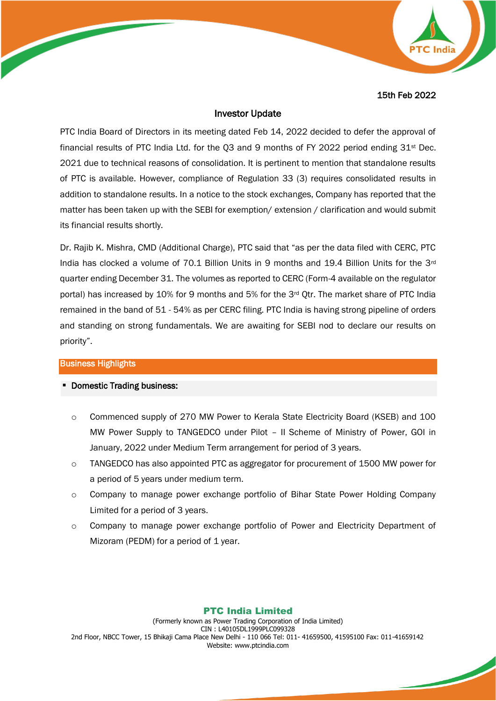15th Feb 2022

### Investor Update

PTC India Board of Directors in its meeting dated Feb 14, 2022 decided to defer the approval of financial results of PTC India Ltd. for the Q3 and 9 months of FY 2022 period ending 31st Dec. 2021 due to technical reasons of consolidation. It is pertinent to mention that standalone results of PTC is available. However, compliance of Regulation 33 (3) requires consolidated results in addition to standalone results. In a notice to the stock exchanges, Company has reported that the matter has been taken up with the SEBI for exemption/ extension / clarification and would submit its financial results shortly.

Dr. Rajib K. Mishra, CMD (Additional Charge), PTC said that "as per the data filed with CERC, PTC India has clocked a volume of 70.1 Billion Units in 9 months and 19.4 Billion Units for the 3rd quarter ending December 31. The volumes as reported to CERC (Form-4 available on the regulator portal) has increased by 10% for 9 months and 5% for the 3<sup>rd</sup> Qtr. The market share of PTC India remained in the band of 51 - 54% as per CERC filing. PTC India is having strong pipeline of orders and standing on strong fundamentals. We are awaiting for SEBI nod to declare our results on priority".

### Business Highlights

#### **-** Domestic Trading business:

- o Commenced supply of 270 MW Power to Kerala State Electricity Board (KSEB) and 100 MW Power Supply to TANGEDCO under Pilot – II Scheme of Ministry of Power, GOI in January, 2022 under Medium Term arrangement for period of 3 years.
- $\circ$  TANGEDCO has also appointed PTC as aggregator for procurement of 1500 MW power for a period of 5 years under medium term.
- o Company to manage power exchange portfolio of Bihar State Power Holding Company Limited for a period of 3 years.
- o Company to manage power exchange portfolio of Power and Electricity Department of Mizoram (PEDM) for a period of 1 year.